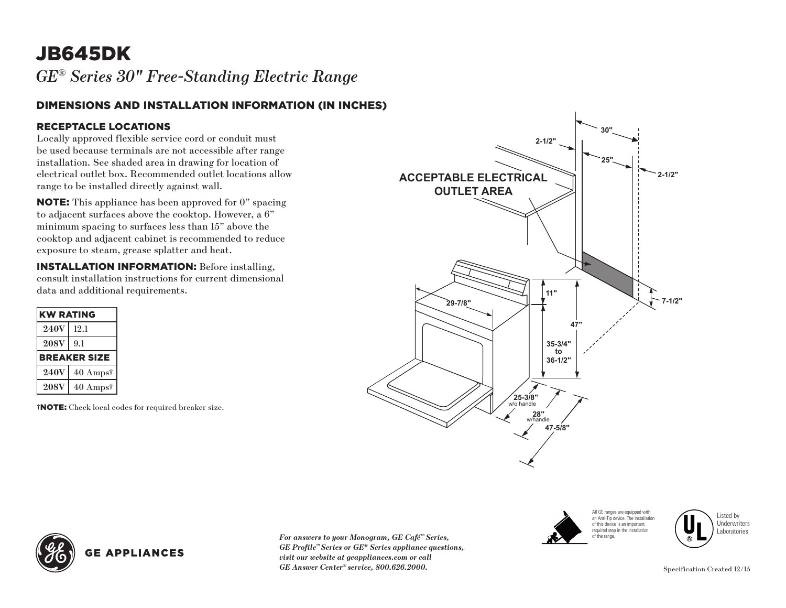## JB645DK

*GE® Series 30" Free-Standing Electric Range* 

#### DIMENSIONS AND INSTALLATION INFORMATION (IN INCHES)

#### RECEPTACLE LOCATIONS

Locally approved flexible service cord or conduit must be used because terminals are not accessible after range installation. See shaded area in drawing for location of electrical outlet box. Recommended outlet locations allow range to be installed directly against wall.

NOTE: This appliance has been approved for 0" spacing to adjacent surfaces above the cooktop. However, a 6" minimum spacing to surfaces less than 15" above the cooktop and adjacent cabinet is recommended to reduce exposure to steam, grease splatter and heat.

INSTALLATION INFORMATION: Before installing, consult installation instructions for current dimensional data and additional requirements.

| <b>KW RATING</b>    |          |
|---------------------|----------|
| 240V                | 12.1     |
| <b>208V</b>         | 9.1      |
| <b>BREAKER SIZE</b> |          |
| <b>240V</b>         | 40 Ampst |
| <b>208V</b>         | 40 Ampst |

†NOTE: Check local codes for required breaker size.





Listed by Underwriters Laboratories



*For answers to your Monogram, GE Café™ Series, GE Profile™ Series or GE® Series appliance questions, visit our website at geappliances.com or call GE Answer Center® service, 800.626.2000.*